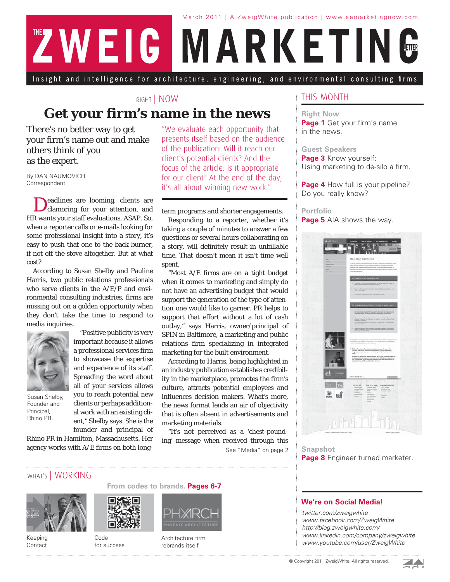

Insight and intelligence for architecture, engineering, and environmental consulting firms

## RIGHT | NOW

# **Get your firm's name in the news**

There's no better way to get your firm's name out and make others think of you as the expert.

By DAN NAUMOVICH Correspondent

eadlines are looming, clients are clamoring for your attention, and HR wants your staff evaluations, ASAP. So, when a reporter calls or e-mails looking for some professional insight into a story, it's easy to push that one to the back burner, if not off the stove altogether. But at what cost?

According to Susan Shelby and Pauline Harris, two public relations professionals who serve clients in the A/E/P and environmental consulting industries, firms are missing out on a golden opportunity when they don't take the time to respond to media inquiries.



Susan Shelby, Founder and Principal, Rhino PR.

"Positive publicity is very important because it allows a professional services firm to showcase the expertise and experience of its staff. Spreading the word about all of your services allows you to reach potential new clients or perhaps additional work with an existing client," Shelby says. She is the founder and principal of

Rhino PR in Hamilton, Massachusetts. Her agency works with A/E firms on both long-

"We evaluate each opportunity that presents itself based on the audience of the publication: Will it reach our client's potential clients? And the focus of the article: Is it appropriate for our client? At the end of the day, it's all about winning new work."

term programs and shorter engagements.

Responding to a reporter, whether it's taking a couple of minutes to answer a few questions or several hours collaborating on a story, will definitely result in unbillable time. That doesn't mean it isn't time well spent.

"Most A/E firms are on a tight budget when it comes to marketing and simply do not have an advertising budget that would support the generation of the type of attention one would like to garner. PR helps to support that effort without a lot of cash outlay," says Harris, owner/principal of SPIN in Baltimore, a marketing and public relations firm specializing in integrated marketing for the built environment.

According to Harris, being highlighted in an industry publication establishes credibility in the marketplace, promotes the firm's culture, attracts potential employees and influences decision makers. What's more, the news format lends an air of objectivity that is often absent in advertisements and marketing materials.

"It's not perceived as a 'chest-pounding' message when received through this See "Media" on page 2

# THIS MONTH

**Right Now Page 1** Get your firm's name in the news.

**Guest Speakers Page 3** Know yourself: Using marketing to de-silo a firm.

**Page 4** How full is your pipeline? Do you really know?

## **Portfolio Page 5** AIA shows the way.



**Snapshot Page 8** Engineer turned marketer.

### WHAT'S | WORKING



Keeping Contact



Code for success



Architecture firm rebrands itself

**From codes to brands. Pages 6-7**

## **We're on Social Media!**

*twitter.com/zweigwhite www.facebook.com/ZweigWhite http://blog.zweigwhite.com/ www.linkedin.com/company/zweigwhite www.youtube.com/user/ZweigWhite*